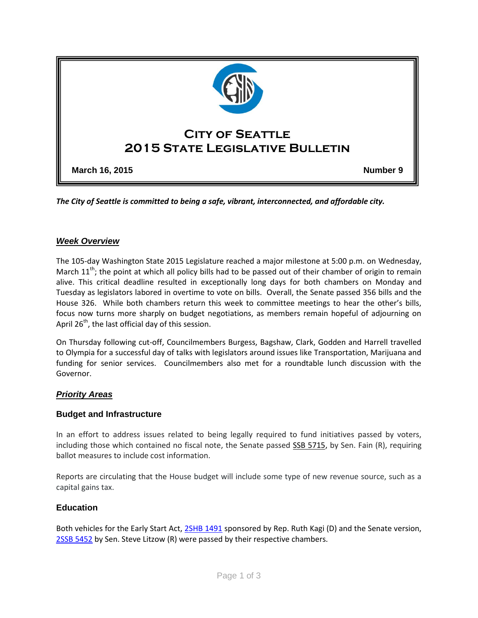

*The City of Seattle is committed to being a safe, vibrant, interconnected, and affordable city.* 

#### *Week Overview*

The 105-day Washington State 2015 Legislature reached a major milestone at 5:00 p.m. on Wednesday, March  $11<sup>th</sup>$ ; the point at which all policy bills had to be passed out of their chamber of origin to remain alive. This critical deadline resulted in exceptionally long days for both chambers on Monday and Tuesday as legislators labored in overtime to vote on bills. Overall, the Senate passed 356 bills and the House 326. While both chambers return this week to committee meetings to hear the other's bills, focus now turns more sharply on budget negotiations, as members remain hopeful of adjourning on April 26<sup>th</sup>, the last official day of this session.

On Thursday following cut-off, Councilmembers Burgess, Bagshaw, Clark, Godden and Harrell travelled to Olympia for a successful day of talks with legislators around issues like Transportation, Marijuana and funding for senior services. Councilmembers also met for a roundtable lunch discussion with the Governor.

### *Priority Areas*

#### **Budget and Infrastructure**

In an effort to address issues related to being legally required to fund initiatives passed by voters, including those which contained no fiscal note, the Senate passed [SSB 5715,](http://app.leg.wa.gov/billinfo/summary.aspx?bill=5715&year=2015) by Sen. Fain (R), requiring ballot measures to include cost information.

Reports are circulating that the House budget will include some type of new revenue source, such as a capital gains tax.

#### **Education**

Both vehicles for the Early Start Act, [2SHB 1491](http://app.leg.wa.gov/billinfo/summary.aspx?bill=1491&year=2015) sponsored by Rep. Ruth Kagi (D) and the Senate version, [2SSB 5452](http://app.leg.wa.gov/billinfo/summary.aspx?bill=5452&year=2015) by Sen. Steve Litzow (R) were passed by their respective chambers.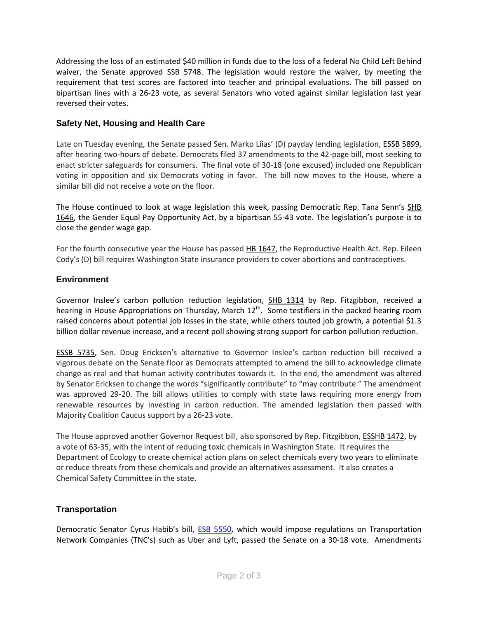Addressing the loss of an estimated \$40 million in funds due to the loss of a federal No Child Left Behind waiver, the Senate approved [SSB 5748.](http://app.leg.wa.gov/billinfo/summary.aspx?bill=5748&year=2015) The legislation would restore the waiver, by meeting the requirement that test scores are factored into teacher and principal evaluations. The bill passed on bipartisan lines with a 26-23 vote, as several Senators who voted against similar legislation last year reversed their votes.

## **Safety Net, Housing and Health Care**

Late on Tuesday evening, the Senate passed Sen. Marko Liias' (D) payday lending legislation, **ESSB 5899**, after hearing two-hours of debate. Democrats filed 37 amendments to the 42-page bill, most seeking to enact stricter safeguards for consumers. The final vote of 30-18 (one excused) included one Republican voting in opposition and six Democrats voting in favor. The bill now moves to the House, where a similar bill did not receive a vote on the floor.

The House continued to look at wage legislation this week, passing Democratic Rep. Tana Senn's [SHB](http://app.leg.wa.gov/billinfo/summary.aspx?bill=1646&year=2015)  [1646,](http://app.leg.wa.gov/billinfo/summary.aspx?bill=1646&year=2015) the Gender Equal Pay Opportunity Act, by a bipartisan 55-43 vote. The legislation's purpose is to close the gender wage gap.

For the fourth consecutive year the House has passed [HB 1647,](http://app.leg.wa.gov/billinfo/summary.aspx?bill=1647&year=2015) the Reproductive Health Act. Rep. Eileen Cody's (D) bill requires Washington State insurance providers to cover abortions and contraceptives.

## **Environment**

Governor Inslee's carbon pollution reduction legislation, [SHB 1314](http://app.leg.wa.gov/billinfo/summary.aspx?bill=1314&year=2015) by Rep. Fitzgibbon, received a hearing in House Appropriations on Thursday, March  $12<sup>th</sup>$ . Some testifiers in the packed hearing room raised concerns about potential job losses in the state, while others touted job growth, a potential \$1.3 billion dollar revenue increase, and a recent poll showing strong support for carbon pollution reduction.

[ESSB 5735](http://app.leg.wa.gov/billinfo/summary.aspx?bill=5735&year=2015), Sen. Doug Ericksen's alternative to Governor Inslee's carbon reduction bill received a vigorous debate on the Senate floor as Democrats attempted to amend the bill to acknowledge climate change as real and that human activity contributes towards it. In the end, the amendment was altered by Senator Ericksen to change the words "significantly contribute" to "may contribute." The amendment was approved 29-20. The bill allows utilities to comply with state laws requiring more energy from renewable resources by investing in carbon reduction. The amended legislation then passed with Majority Coalition Caucus support by a 26-23 vote.

The House approved another Governor Request bill, also sponsored by Rep. Fitzgibbon[, ESSHB 1472,](http://app.leg.wa.gov/billinfo/summary.aspx?bill=1472&year=2015) by a vote of 63-35, with the intent of reducing toxic chemicals in Washington State. It requires the Department of Ecology to create chemical action plans on select chemicals every two years to eliminate or reduce threats from these chemicals and provide an alternatives assessment. It also creates a Chemical Safety Committee in the state.

# **Transportation**

Democratic Senator Cyrus Habib's bill, [ESB 5550,](http://apps.leg.wa.gov/billinfo/summary.aspx?bill=5550) which would impose regulations on Transportation Network Companies (TNC's) such as Uber and Lyft, passed the Senate on a 30-18 vote. Amendments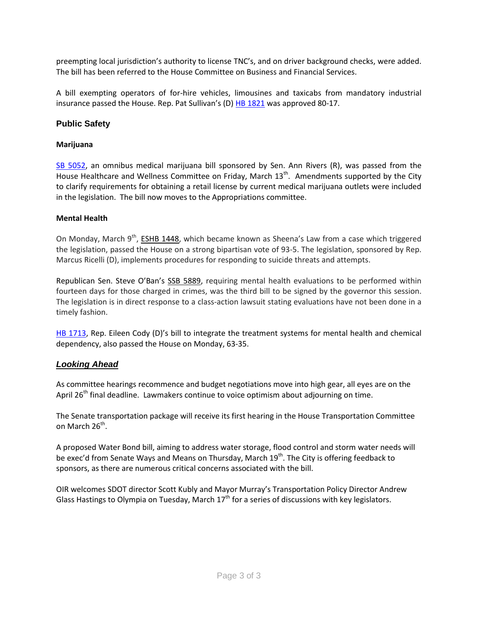preempting local jurisdiction's authority to license TNC's, and on driver background checks, were added. The bill has been referred to the House Committee on Business and Financial Services.

A bill exempting operators of for-hire vehicles, limousines and taxicabs from mandatory industrial insurance passed the House. Rep. Pat Sullivan's (D) [HB 1821](http://apps.leg.wa.gov/billinfo/summary.aspx?bill=1821) was approved 80-17.

# **Public Safety**

### **Marijuana**

[SB 5052,](http://apps.leg.wa.gov/billinfo/summary.aspx?bill=5052&year=2015) an omnibus medical marijuana bill sponsored by Sen. Ann Rivers (R), was passed from the House Healthcare and Wellness Committee on Friday, March 13<sup>th</sup>. Amendments supported by the City to clarify requirements for obtaining a retail license by current medical marijuana outlets were included in the legislation. The bill now moves to the Appropriations committee.

### **Mental Health**

On Monday, March 9<sup>th</sup>, [ESHB 1448](http://app.leg.wa.gov/billinfo/summary.aspx?bill=1448&year=2015), which became known as Sheena's Law from a case which triggered the legislation, passed the House on a strong bipartisan vote of 93-5. The legislation, sponsored by Rep. Marcus Ricelli (D), implements procedures for responding to suicide threats and attempts.

Republican Sen. Steve O'Ban's [SSB 5889,](http://app.leg.wa.gov/billinfo/summary.aspx?bill=5889&year=2015) requiring mental health evaluations to be performed within fourteen days for those charged in crimes, was the third bill to be signed by the governor this session. The legislation is in direct response to a class-action lawsuit stating evaluations have not been done in a timely fashion.

[HB 1713](http://app.leg.wa.gov/billinfo/summary.aspx?bill=1713&year=2015), Rep. Eileen Cody (D)'s bill to integrate the treatment systems for mental health and chemical dependency, also passed the House on Monday, 63-35.

# *Looking Ahead*

As committee hearings recommence and budget negotiations move into high gear, all eyes are on the April 26<sup>th</sup> final deadline. Lawmakers continue to voice optimism about adjourning on time.

The Senate transportation package will receive its first hearing in the House Transportation Committee on March 26<sup>th</sup>.

A proposed Water Bond bill, aiming to address water storage, flood control and storm water needs will be exec'd from Senate Ways and Means on Thursday, March 19<sup>th</sup>. The City is offering feedback to sponsors, as there are numerous critical concerns associated with the bill.

OIR welcomes SDOT director Scott Kubly and Mayor Murray's Transportation Policy Director Andrew Glass Hastings to Olympia on Tuesday, March  $17<sup>th</sup>$  for a series of discussions with key legislators.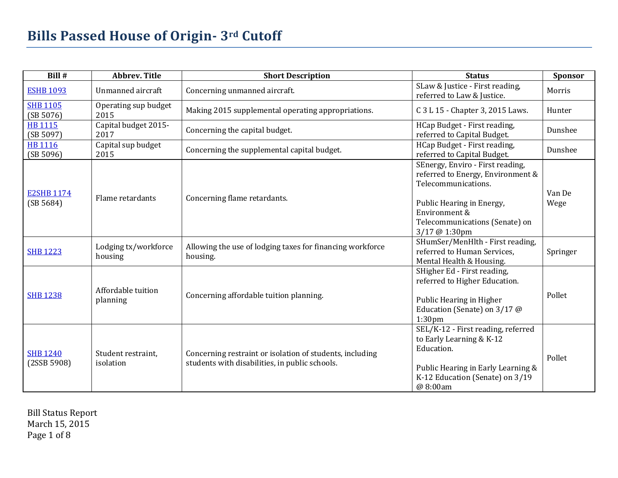| Bill #                         | <b>Abbrev. Title</b>            | <b>Short Description</b>                                                                                   | <b>Status</b>                                                                                                                                                                                 | Sponsor        |
|--------------------------------|---------------------------------|------------------------------------------------------------------------------------------------------------|-----------------------------------------------------------------------------------------------------------------------------------------------------------------------------------------------|----------------|
| <b>ESHB 1093</b>               | Unmanned aircraft               | Concerning unmanned aircraft.                                                                              | SLaw & Justice - First reading,<br>referred to Law & Justice.                                                                                                                                 | Morris         |
| <b>SHB 1105</b><br>(SB 5076)   | Operating sup budget<br>2015    | Making 2015 supplemental operating appropriations.                                                         | C 3 L 15 - Chapter 3, 2015 Laws.                                                                                                                                                              | Hunter         |
| <b>HB 1115</b><br>(SB 5097)    | Capital budget 2015-<br>2017    | Concerning the capital budget.                                                                             | HCap Budget - First reading,<br>referred to Capital Budget.                                                                                                                                   | Dunshee        |
| <b>HB 1116</b><br>(SB 5096)    | Capital sup budget<br>2015      | Concerning the supplemental capital budget.                                                                | HCap Budget - First reading,<br>referred to Capital Budget.                                                                                                                                   | Dunshee        |
| <b>E2SHB 1174</b><br>(SB 5684) | Flame retardants                | Concerning flame retardants.                                                                               | SEnergy, Enviro - First reading,<br>referred to Energy, Environment &<br>Telecommunications.<br>Public Hearing in Energy,<br>Environment &<br>Telecommunications (Senate) on<br>3/17 @ 1:30pm | Van De<br>Wege |
| <b>SHB 1223</b>                | Lodging tx/workforce<br>housing | Allowing the use of lodging taxes for financing workforce<br>housing.                                      | SHumSer/MenHlth - First reading,<br>referred to Human Services.<br>Mental Health & Housing.                                                                                                   | Springer       |
| <b>SHB 1238</b>                | Affordable tuition<br>planning  | Concerning affordable tuition planning.                                                                    | SHigher Ed - First reading,<br>referred to Higher Education.<br>Public Hearing in Higher<br>Education (Senate) on 3/17 @<br>1:30 <sub>pm</sub>                                                | Pollet         |
| <b>SHB 1240</b><br>(2SSB 5908) | Student restraint,<br>isolation | Concerning restraint or isolation of students, including<br>students with disabilities, in public schools. | SEL/K-12 - First reading, referred<br>to Early Learning & K-12<br>Education.<br>Public Hearing in Early Learning &<br>K-12 Education (Senate) on 3/19<br>@ 8:00am                             | Pollet         |

Bill Status Report March 15, 2015 Page 1 of 8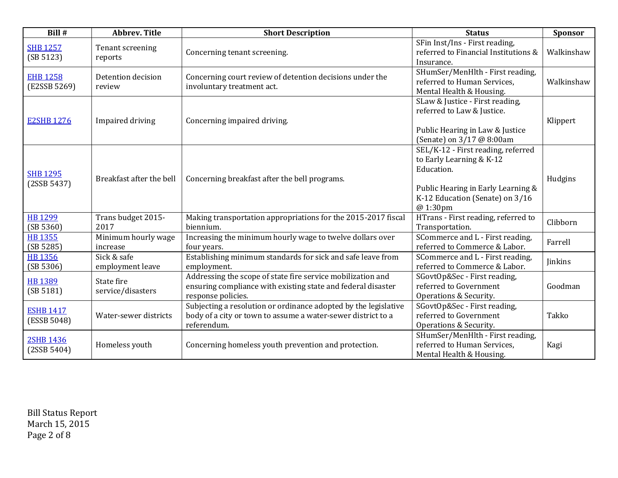| Bill #                          | <b>Abbrev. Title</b>            | <b>Short Description</b>                                                                                                                          | <b>Status</b>                                                                                                                                                     | Sponsor    |
|---------------------------------|---------------------------------|---------------------------------------------------------------------------------------------------------------------------------------------------|-------------------------------------------------------------------------------------------------------------------------------------------------------------------|------------|
| <b>SHB 1257</b><br>(SB 5123)    | Tenant screening<br>reports     | Concerning tenant screening.                                                                                                                      | SFin Inst/Ins - First reading,<br>referred to Financial Institutions &<br>Insurance.                                                                              | Walkinshaw |
| <b>EHB 1258</b><br>(E2SSB 5269) | Detention decision<br>review    | Concerning court review of detention decisions under the<br>involuntary treatment act.                                                            | SHumSer/MenHlth - First reading,<br>referred to Human Services,<br>Mental Health & Housing.                                                                       | Walkinshaw |
| <b>E2SHB 1276</b>               | Impaired driving                | Concerning impaired driving.                                                                                                                      | SLaw & Justice - First reading,<br>referred to Law & Justice.<br>Public Hearing in Law & Justice<br>(Senate) on 3/17 @ 8:00am                                     | Klippert   |
| <b>SHB 1295</b><br>(2SSB 5437)  | Breakfast after the bell        | Concerning breakfast after the bell programs.                                                                                                     | SEL/K-12 - First reading, referred<br>to Early Learning & K-12<br>Education.<br>Public Hearing in Early Learning &<br>K-12 Education (Senate) on 3/16<br>@ 1:30pm | Hudgins    |
| <b>HB 1299</b><br>(SB 5360)     | Trans budget 2015-<br>2017      | Making transportation appropriations for the 2015-2017 fiscal<br>biennium.                                                                        | HTrans - First reading, referred to<br>Transportation.                                                                                                            | Clibborn   |
| <b>HB 1355</b><br>(SB 5285)     | Minimum hourly wage<br>increase | Increasing the minimum hourly wage to twelve dollars over<br>four years.                                                                          | SCommerce and L - First reading,<br>referred to Commerce & Labor.                                                                                                 | Farrell    |
| <b>HB 1356</b><br>(SB 5306)     | Sick & safe<br>employment leave | Establishing minimum standards for sick and safe leave from<br>employment.                                                                        | SCommerce and L - First reading,<br>referred to Commerce & Labor.                                                                                                 | Jinkins    |
| <b>HB 1389</b><br>(SB 5181)     | State fire<br>service/disasters | Addressing the scope of state fire service mobilization and<br>ensuring compliance with existing state and federal disaster<br>response policies. | SGovtOp&Sec - First reading,<br>referred to Government<br>Operations & Security.                                                                                  | Goodman    |
| <b>ESHB 1417</b><br>(ESSB 5048) | Water-sewer districts           | Subjecting a resolution or ordinance adopted by the legislative<br>body of a city or town to assume a water-sewer district to a<br>referendum.    | SGovtOp&Sec - First reading,<br>referred to Government<br>Operations & Security.                                                                                  | Takko      |
| 2SHB 1436<br>(2SSB 5404)        | Homeless youth                  | Concerning homeless youth prevention and protection.                                                                                              | SHumSer/MenHlth - First reading,<br>referred to Human Services,<br>Mental Health & Housing.                                                                       | Kagi       |

Bill Status Report March 15, 2015 Page 2 of 8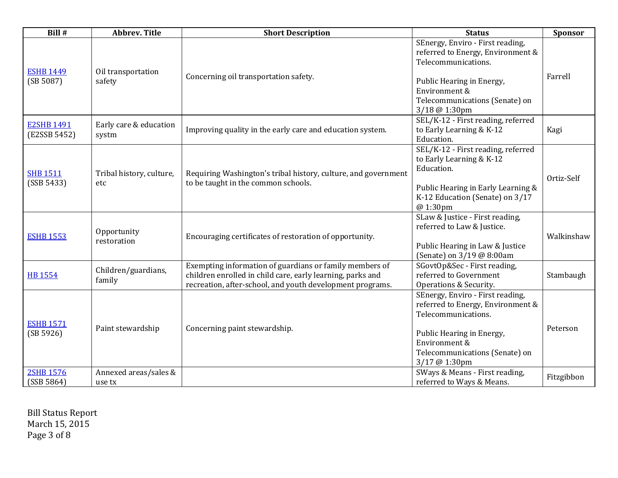| Bill #                            | <b>Abbrev. Title</b>            | <b>Short Description</b>                                                                                                                                                           | <b>Status</b>                                                                                                                                                                                 | <b>Sponsor</b> |
|-----------------------------------|---------------------------------|------------------------------------------------------------------------------------------------------------------------------------------------------------------------------------|-----------------------------------------------------------------------------------------------------------------------------------------------------------------------------------------------|----------------|
| <b>ESHB 1449</b><br>(SB 5087)     | Oil transportation<br>safety    | Concerning oil transportation safety.                                                                                                                                              | SEnergy, Enviro - First reading,<br>referred to Energy, Environment &<br>Telecommunications.<br>Public Hearing in Energy,<br>Environment &<br>Telecommunications (Senate) on<br>3/18 @ 1:30pm | Farrell        |
| <b>E2SHB 1491</b><br>(E2SSB 5452) | Early care & education<br>systm | Improving quality in the early care and education system.                                                                                                                          | SEL/K-12 - First reading, referred<br>to Early Learning & K-12<br>Education.                                                                                                                  | Kagi           |
| <b>SHB 1511</b><br>(SSB 5433)     | Tribal history, culture,<br>etc | Requiring Washington's tribal history, culture, and government<br>to be taught in the common schools.                                                                              | SEL/K-12 - First reading, referred<br>to Early Learning & K-12<br>Education.<br>Public Hearing in Early Learning &<br>K-12 Education (Senate) on 3/17<br>@1:30pm                              | Ortiz-Self     |
| <b>ESHB 1553</b>                  | Opportunity<br>restoration      | Encouraging certificates of restoration of opportunity.                                                                                                                            | SLaw & Justice - First reading,<br>referred to Law & Justice.<br>Public Hearing in Law & Justice<br>(Senate) on 3/19 @ 8:00am                                                                 | Walkinshaw     |
| <b>HB 1554</b>                    | Children/guardians,<br>family   | Exempting information of guardians or family members of<br>children enrolled in child care, early learning, parks and<br>recreation, after-school, and youth development programs. | SGovtOp&Sec - First reading,<br>referred to Government<br>Operations & Security.                                                                                                              | Stambaugh      |
| <b>ESHB 1571</b><br>(SB 5926)     | Paint stewardship               | Concerning paint stewardship.                                                                                                                                                      | SEnergy, Enviro - First reading,<br>referred to Energy, Environment &<br>Telecommunications.<br>Public Hearing in Energy,<br>Environment &<br>Telecommunications (Senate) on<br>3/17 @ 1:30pm | Peterson       |
| <b>2SHB 1576</b><br>(SSB 5864)    | Annexed areas/sales &<br>use tx |                                                                                                                                                                                    | SWays & Means - First reading,<br>referred to Ways & Means.                                                                                                                                   | Fitzgibbon     |

Bill Status Report March 15, 2015 Page 3 of 8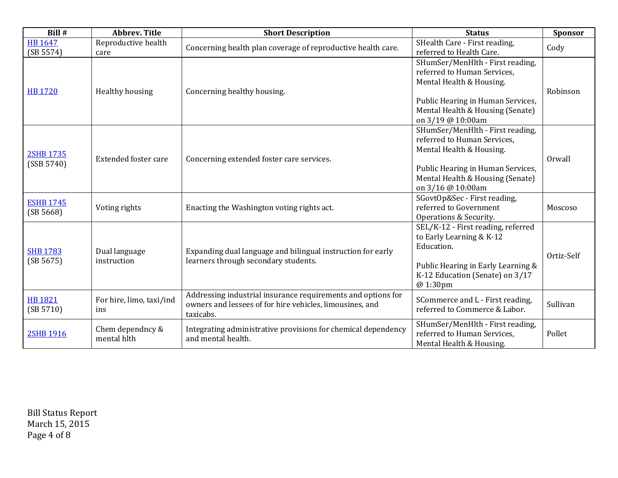| Bill #                         | <b>Abbrev. Title</b>            | <b>Short Description</b>                                                                                                              | <b>Status</b>                                                                                                                                                                             | Sponsor    |
|--------------------------------|---------------------------------|---------------------------------------------------------------------------------------------------------------------------------------|-------------------------------------------------------------------------------------------------------------------------------------------------------------------------------------------|------------|
| <b>HB 1647</b><br>(SB 5574)    | Reproductive health<br>care     | Concerning health plan coverage of reproductive health care.                                                                          | SHealth Care - First reading,<br>referred to Health Care.                                                                                                                                 | Cody       |
| <b>HB 1720</b>                 | Healthy housing                 | Concerning healthy housing.                                                                                                           | SHumSer/MenHlth - First reading,<br>referred to Human Services.<br>Mental Health & Housing.<br>Public Hearing in Human Services,<br>Mental Health & Housing (Senate)<br>on 3/19 @ 10:00am | Robinson   |
| <b>2SHB 1735</b><br>(SSB 5740) | <b>Extended foster care</b>     | Concerning extended foster care services.                                                                                             | SHumSer/MenHlth - First reading,<br>referred to Human Services,<br>Mental Health & Housing.<br>Public Hearing in Human Services,<br>Mental Health & Housing (Senate)<br>on 3/16 @ 10:00am | Orwall     |
| <b>ESHB 1745</b><br>(SB 5668)  | Voting rights                   | Enacting the Washington voting rights act.                                                                                            | SGovtOp&Sec - First reading,<br>referred to Government<br>Operations & Security.                                                                                                          | Moscoso    |
| <b>SHB 1783</b><br>(SB 5675)   | Dual language<br>instruction    | Expanding dual language and bilingual instruction for early<br>learners through secondary students.                                   | SEL/K-12 - First reading, referred<br>to Early Learning & K-12<br>Education.<br>Public Hearing in Early Learning &<br>K-12 Education (Senate) on 3/17<br>@ 1:30pm                         | Ortiz-Self |
| <b>HB 1821</b><br>(SB 5710)    | For hire, limo, taxi/ind<br>ins | Addressing industrial insurance requirements and options for<br>owners and lessees of for hire vehicles, limousines, and<br>taxicabs. | SCommerce and L - First reading,<br>referred to Commerce & Labor.                                                                                                                         | Sullivan   |
| <b>2SHB 1916</b>               | Chem dependncy &<br>mental hlth | Integrating administrative provisions for chemical dependency<br>and mental health.                                                   | SHumSer/MenHlth - First reading,<br>referred to Human Services,<br>Mental Health & Housing.                                                                                               | Pollet     |

Bill Status Report March 15, 2015 Page 4 of 8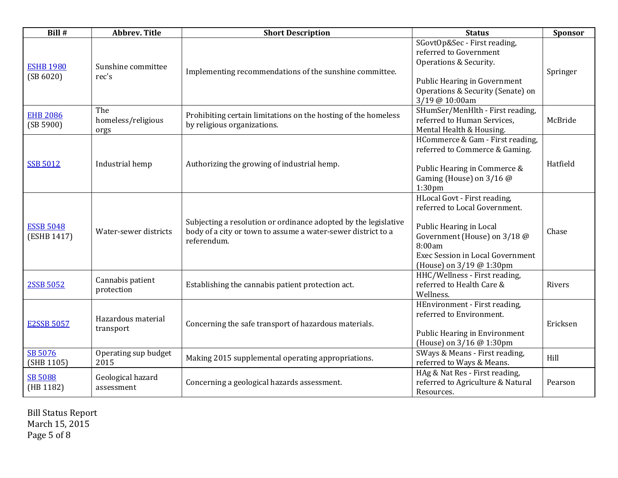| Bill #                          | <b>Abbrev. Title</b>              | <b>Short Description</b>                                                                                                                       | <b>Status</b>                                                                                                                                                                                      | <b>Sponsor</b> |
|---------------------------------|-----------------------------------|------------------------------------------------------------------------------------------------------------------------------------------------|----------------------------------------------------------------------------------------------------------------------------------------------------------------------------------------------------|----------------|
| <b>ESHB 1980</b><br>(SB 6020)   | Sunshine committee<br>rec's       | Implementing recommendations of the sunshine committee.                                                                                        | SGovtOp&Sec - First reading,<br>referred to Government<br>Operations & Security.<br>Public Hearing in Government<br>Operations & Security (Senate) on<br>3/19 @ 10:00am                            | Springer       |
| <b>EHB 2086</b><br>(SB 5900)    | The<br>homeless/religious<br>orgs | Prohibiting certain limitations on the hosting of the homeless<br>by religious organizations.                                                  | SHumSer/MenHlth - First reading,<br>referred to Human Services,<br>Mental Health & Housing.                                                                                                        | McBride        |
| <b>SSB 5012</b>                 | Industrial hemp                   | Authorizing the growing of industrial hemp.                                                                                                    | HCommerce & Gam - First reading,<br>referred to Commerce & Gaming.<br>Public Hearing in Commerce &<br>Gaming (House) on 3/16 @<br>1:30 <sub>pm</sub>                                               | Hatfield       |
| <b>ESSB 5048</b><br>(ESHB 1417) | Water-sewer districts             | Subjecting a resolution or ordinance adopted by the legislative<br>body of a city or town to assume a water-sewer district to a<br>referendum. | HLocal Govt - First reading,<br>referred to Local Government.<br>Public Hearing in Local<br>Government (House) on 3/18 @<br>8:00am<br>Exec Session in Local Government<br>(House) on 3/19 @ 1:30pm | Chase          |
| 2SSB 5052                       | Cannabis patient<br>protection    | Establishing the cannabis patient protection act.                                                                                              | HHC/Wellness - First reading,<br>referred to Health Care &<br>Wellness.                                                                                                                            | Rivers         |
| <b>E2SSB 5057</b>               | Hazardous material<br>transport   | Concerning the safe transport of hazardous materials.                                                                                          | HEnvironment - First reading,<br>referred to Environment.<br>Public Hearing in Environment<br>(House) on 3/16 @ 1:30pm                                                                             | Ericksen       |
| SB 5076<br>(SHB 1105)           | Operating sup budget<br>2015      | Making 2015 supplemental operating appropriations.                                                                                             | SWays & Means - First reading,<br>referred to Ways & Means.                                                                                                                                        | Hill           |
| <b>SB 5088</b><br>(HB 1182)     | Geological hazard<br>assessment   | Concerning a geological hazards assessment.                                                                                                    | HAg & Nat Res - First reading,<br>referred to Agriculture & Natural<br>Resources.                                                                                                                  | Pearson        |

Bill Status Report March 15, 2015 Page 5 of 8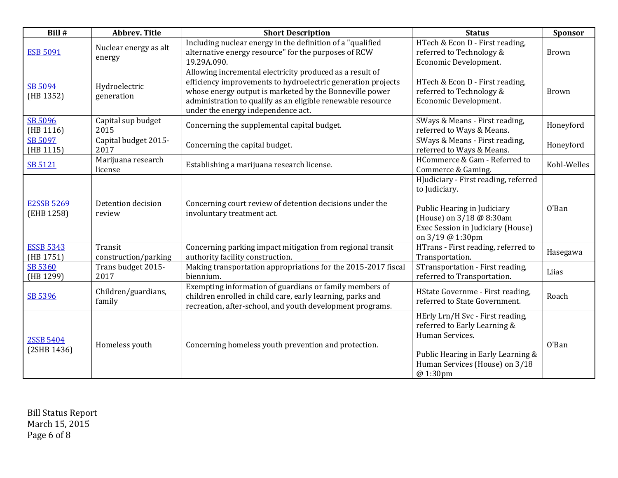| Bill #                          | <b>Abbrev. Title</b>            | <b>Short Description</b>                                                                                                                                                                                                                                                                 | <b>Status</b>                                                                                                                                                             | <b>Sponsor</b> |
|---------------------------------|---------------------------------|------------------------------------------------------------------------------------------------------------------------------------------------------------------------------------------------------------------------------------------------------------------------------------------|---------------------------------------------------------------------------------------------------------------------------------------------------------------------------|----------------|
| <b>ESB 5091</b>                 | Nuclear energy as alt<br>energy | Including nuclear energy in the definition of a "qualified<br>alternative energy resource" for the purposes of RCW<br>19.29A.090.                                                                                                                                                        | HTech & Econ D - First reading,<br>referred to Technology &<br>Economic Development.                                                                                      | <b>Brown</b>   |
| SB 5094<br>(HB 1352)            | Hydroelectric<br>generation     | Allowing incremental electricity produced as a result of<br>efficiency improvements to hydroelectric generation projects<br>whose energy output is marketed by the Bonneville power<br>administration to qualify as an eligible renewable resource<br>under the energy independence act. | HTech & Econ D - First reading,<br>referred to Technology &<br>Economic Development.                                                                                      | <b>Brown</b>   |
| SB 5096<br>(HB 1116)            | Capital sup budget<br>2015      | Concerning the supplemental capital budget.                                                                                                                                                                                                                                              | SWays & Means - First reading,<br>referred to Ways & Means.                                                                                                               | Honeyford      |
| SB 5097<br>(HB 1115)            | Capital budget 2015-<br>2017    | Concerning the capital budget.                                                                                                                                                                                                                                                           | SWays & Means - First reading,<br>referred to Ways & Means.                                                                                                               | Honeyford      |
| SB 5121                         | Marijuana research<br>license   | Establishing a marijuana research license.                                                                                                                                                                                                                                               | HCommerce & Gam - Referred to<br>Commerce & Gaming.                                                                                                                       | Kohl-Welles    |
| <b>E2SSB 5269</b><br>(EHB 1258) | Detention decision<br>review    | Concerning court review of detention decisions under the<br>involuntary treatment act.                                                                                                                                                                                                   | HJudiciary - First reading, referred<br>to Judiciary.<br>Public Hearing in Judiciary<br>(House) on 3/18 @ 8:30am<br>Exec Session in Judiciary (House)<br>on 3/19 @ 1:30pm | O'Ban          |
| <b>ESSB 5343</b><br>(HB 1751)   | Transit<br>construction/parking | Concerning parking impact mitigation from regional transit<br>authority facility construction.                                                                                                                                                                                           | HTrans - First reading, referred to<br>Transportation.                                                                                                                    | Hasegawa       |
| SB 5360<br>(HB 1299)            | Trans budget 2015-<br>2017      | Making transportation appropriations for the 2015-2017 fiscal<br>biennium.                                                                                                                                                                                                               | STransportation - First reading,<br>referred to Transportation.                                                                                                           | Liias          |
| SB 5396                         | Children/guardians,<br>family   | Exempting information of guardians or family members of<br>children enrolled in child care, early learning, parks and<br>recreation, after-school, and youth development programs.                                                                                                       | HState Governme - First reading,<br>referred to State Government.                                                                                                         | Roach          |
| 2SSB 5404<br>(2SHB 1436)        | Homeless youth                  | Concerning homeless youth prevention and protection.                                                                                                                                                                                                                                     | HErly Lrn/H Svc - First reading,<br>referred to Early Learning &<br>Human Services.<br>Public Hearing in Early Learning &<br>Human Services (House) on 3/18<br>@ 1:30pm   | O'Ban          |

Bill Status Report March 15, 2015 Page 6 of 8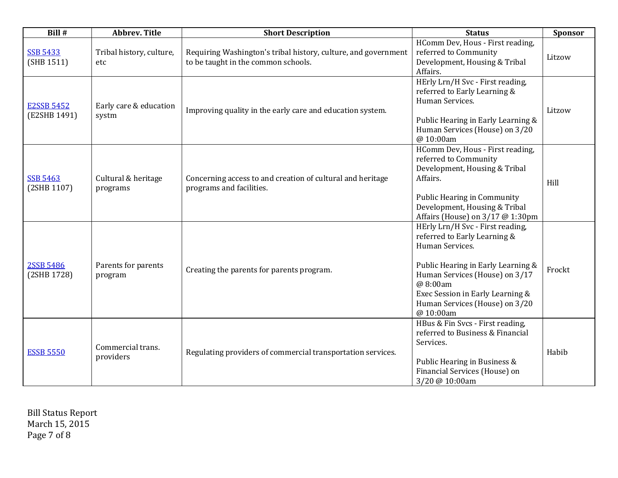| Bill #                            | <b>Abbrev. Title</b>             | <b>Short Description</b>                                                                              | <b>Status</b>                                                                                                                                                                                                                                              | Sponsor |
|-----------------------------------|----------------------------------|-------------------------------------------------------------------------------------------------------|------------------------------------------------------------------------------------------------------------------------------------------------------------------------------------------------------------------------------------------------------------|---------|
| <b>SSB 5433</b><br>(SHB 1511)     | Tribal history, culture,<br>etc. | Requiring Washington's tribal history, culture, and government<br>to be taught in the common schools. | HComm Dev, Hous - First reading,<br>referred to Community<br>Development, Housing & Tribal<br>Affairs.                                                                                                                                                     | Litzow  |
| <b>E2SSB 5452</b><br>(E2SHB 1491) | Early care & education<br>systm  | Improving quality in the early care and education system.                                             | HErly Lrn/H Svc - First reading,<br>referred to Early Learning &<br>Human Services.<br>Public Hearing in Early Learning &<br>Human Services (House) on 3/20<br>@ 10:00am                                                                                   | Litzow  |
| <b>SSB 5463</b><br>(2SHB 1107)    | Cultural & heritage<br>programs  | Concerning access to and creation of cultural and heritage<br>programs and facilities.                | HComm Dev, Hous - First reading,<br>referred to Community<br>Development, Housing & Tribal<br>Affairs.<br><b>Public Hearing in Community</b><br>Development, Housing & Tribal<br>Affairs (House) on 3/17 @ 1:30pm                                          | Hill    |
| 2SSB 5486<br>(2SHB 1728)          | Parents for parents<br>program   | Creating the parents for parents program.                                                             | HErly Lrn/H Svc - First reading,<br>referred to Early Learning &<br>Human Services.<br>Public Hearing in Early Learning &<br>Human Services (House) on 3/17<br>@ 8:00am<br>Exec Session in Early Learning &<br>Human Services (House) on 3/20<br>@ 10:00am | Frockt  |
| <b>ESSB 5550</b>                  | Commercial trans.<br>providers   | Regulating providers of commercial transportation services.                                           | HBus & Fin Svcs - First reading,<br>referred to Business & Financial<br>Services.<br>Public Hearing in Business &<br>Financial Services (House) on<br>3/20 @ 10:00am                                                                                       | Habib   |

Bill Status Report March 15, 2015 Page 7 of 8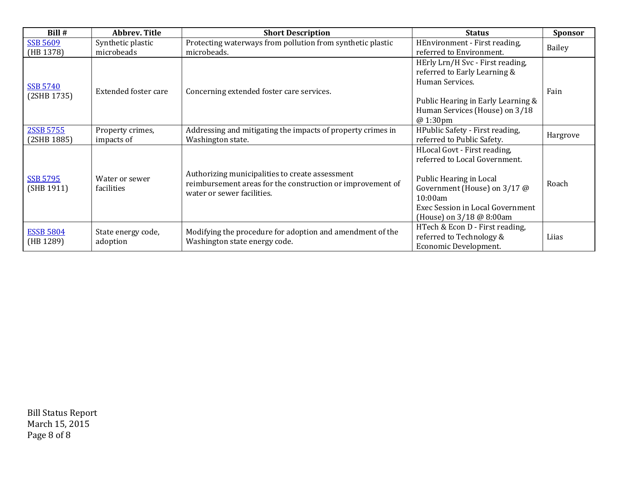| Bill #                         | <b>Abbrev. Title</b>            | <b>Short Description</b>                                                                                                                    | <b>Status</b>                                                                                                                                                                                       | <b>Sponsor</b> |
|--------------------------------|---------------------------------|---------------------------------------------------------------------------------------------------------------------------------------------|-----------------------------------------------------------------------------------------------------------------------------------------------------------------------------------------------------|----------------|
| <b>SSB 5609</b><br>(HB 1378)   | Synthetic plastic<br>microbeads | Protecting waterways from pollution from synthetic plastic<br>microbeads.                                                                   | HEnvironment - First reading,<br>referred to Environment.                                                                                                                                           | Bailey         |
| <b>SSB 5740</b><br>(2SHB 1735) | Extended foster care            | Concerning extended foster care services.                                                                                                   | HErly Lrn/H Svc - First reading,<br>referred to Early Learning &<br>Human Services.<br>Public Hearing in Early Learning &<br>Human Services (House) on 3/18<br>@ 1:30pm                             | Fain           |
| 2SSB 5755<br>(2SHB 1885)       | Property crimes,<br>impacts of  | Addressing and mitigating the impacts of property crimes in<br>Washington state.                                                            | HPublic Safety - First reading,<br>referred to Public Safety.                                                                                                                                       | Hargrove       |
| <b>SSB 5795</b><br>(SHB 1911)  | Water or sewer<br>facilities    | Authorizing municipalities to create assessment<br>reimbursement areas for the construction or improvement of<br>water or sewer facilities. | HLocal Govt - First reading,<br>referred to Local Government.<br>Public Hearing in Local<br>Government (House) on 3/17 @<br>10:00am<br>Exec Session in Local Government<br>(House) on 3/18 @ 8:00am | Roach          |
| <b>ESSB 5804</b><br>(HB 1289)  | State energy code,<br>adoption  | Modifying the procedure for adoption and amendment of the<br>Washington state energy code.                                                  | HTech & Econ D - First reading,<br>referred to Technology &<br>Economic Development.                                                                                                                | Liias          |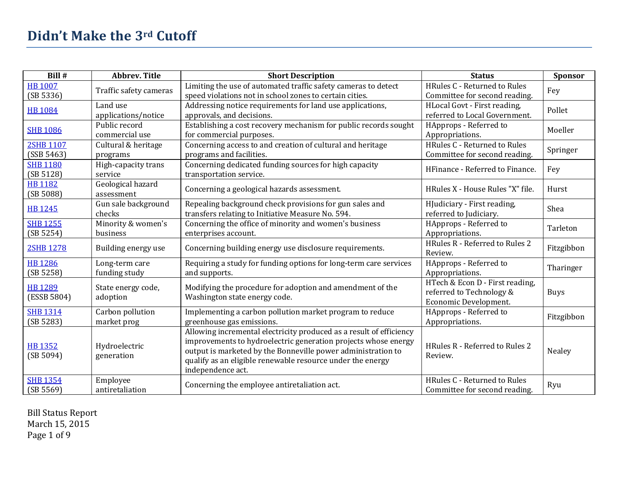| Bill #                         | <b>Abbrev. Title</b>            | <b>Short Description</b>                                                                                                                                                                                                                                                                 | <b>Status</b>                                                                        | Sponsor     |
|--------------------------------|---------------------------------|------------------------------------------------------------------------------------------------------------------------------------------------------------------------------------------------------------------------------------------------------------------------------------------|--------------------------------------------------------------------------------------|-------------|
| <b>HB 1007</b><br>(SB 5336)    | Traffic safety cameras          | Limiting the use of automated traffic safety cameras to detect<br>speed violations not in school zones to certain cities.                                                                                                                                                                | <b>HRules C - Returned to Rules</b><br>Committee for second reading.                 | Fey         |
| <b>HB 1084</b>                 | Land use<br>applications/notice | Addressing notice requirements for land use applications,<br>approvals, and decisions.                                                                                                                                                                                                   | HLocal Govt - First reading,<br>referred to Local Government.                        | Pollet      |
| <b>SHB 1086</b>                | Public record<br>commercial use | Establishing a cost recovery mechanism for public records sought<br>for commercial purposes.                                                                                                                                                                                             | HApprops - Referred to<br>Appropriations.                                            | Moeller     |
| <b>2SHB 1107</b><br>(SSB 5463) | Cultural & heritage<br>programs | Concerning access to and creation of cultural and heritage<br>programs and facilities.                                                                                                                                                                                                   | HRules C - Returned to Rules<br>Committee for second reading.                        | Springer    |
| <b>SHB 1180</b><br>(SB 5128)   | High-capacity trans<br>service  | Concerning dedicated funding sources for high capacity<br>transportation service.                                                                                                                                                                                                        | HFinance - Referred to Finance.                                                      | Fey         |
| <b>HB 1182</b><br>(SB 5088)    | Geological hazard<br>assessment | Concerning a geological hazards assessment.                                                                                                                                                                                                                                              | HRules X - House Rules "X" file.                                                     | Hurst       |
| <b>HB 1245</b>                 | Gun sale background<br>checks   | Repealing background check provisions for gun sales and<br>transfers relating to Initiative Measure No. 594.                                                                                                                                                                             | HJudiciary - First reading,<br>referred to Judiciary.                                | Shea        |
| <b>SHB 1255</b><br>(SB 5254)   | Minority & women's<br>business  | Concerning the office of minority and women's business<br>enterprises account.                                                                                                                                                                                                           | HApprops - Referred to<br>Appropriations.                                            | Tarleton    |
| <b>2SHB 1278</b>               | Building energy use             | Concerning building energy use disclosure requirements.                                                                                                                                                                                                                                  | HRules R - Referred to Rules 2<br>Review.                                            | Fitzgibbon  |
| <b>HB 1286</b><br>(SB 5258)    | Long-term care<br>funding study | Requiring a study for funding options for long-term care services<br>and supports.                                                                                                                                                                                                       | HApprops - Referred to<br>Appropriations.                                            | Tharinger   |
| <b>HB 1289</b><br>(ESSB 5804)  | State energy code,<br>adoption  | Modifying the procedure for adoption and amendment of the<br>Washington state energy code.                                                                                                                                                                                               | HTech & Econ D - First reading,<br>referred to Technology &<br>Economic Development. | <b>Buys</b> |
| <b>SHB 1314</b><br>(SB 5283)   | Carbon pollution<br>market prog | Implementing a carbon pollution market program to reduce<br>greenhouse gas emissions.                                                                                                                                                                                                    | HApprops - Referred to<br>Appropriations.                                            | Fitzgibbon  |
| <b>HB 1352</b><br>(SB 5094)    | Hydroelectric<br>generation     | Allowing incremental electricity produced as a result of efficiency<br>improvements to hydroelectric generation projects whose energy<br>output is marketed by the Bonneville power administration to<br>qualify as an eligible renewable resource under the energy<br>independence act. | HRules R - Referred to Rules 2<br>Review.                                            | Nealey      |
| <b>SHB 1354</b><br>(SB 5569)   | Employee<br>antiretaliation     | Concerning the employee antiretaliation act.                                                                                                                                                                                                                                             | <b>HRules C - Returned to Rules</b><br>Committee for second reading.                 | Ryu         |

Bill Status Report March 15, 2015 Page 1 of 9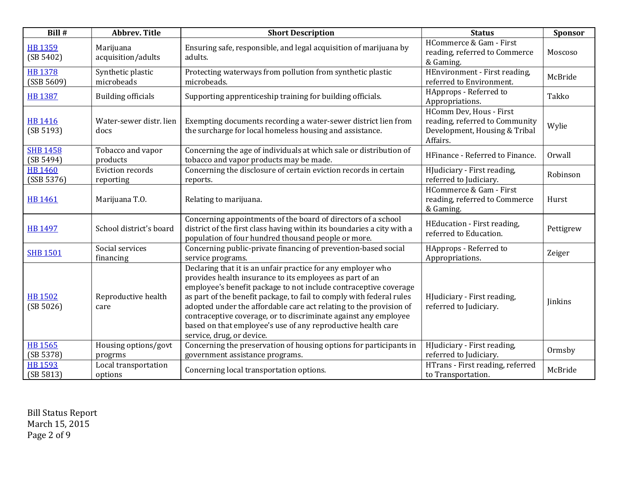| Bill #                       | <b>Abbrev. Title</b>                 | <b>Short Description</b>                                                                                                                                                                                                                                                                                                                                                                                                                                                                                   | <b>Status</b>                                                                                          | Sponsor   |
|------------------------------|--------------------------------------|------------------------------------------------------------------------------------------------------------------------------------------------------------------------------------------------------------------------------------------------------------------------------------------------------------------------------------------------------------------------------------------------------------------------------------------------------------------------------------------------------------|--------------------------------------------------------------------------------------------------------|-----------|
| <b>HB 1359</b><br>(SB 5402)  | Marijuana<br>acquisition/adults      | Ensuring safe, responsible, and legal acquisition of marijuana by<br>adults.                                                                                                                                                                                                                                                                                                                                                                                                                               | HCommerce & Gam - First<br>reading, referred to Commerce<br>& Gaming.                                  | Moscoso   |
| <b>HB 1378</b><br>(SSB 5609) | Synthetic plastic<br>microbeads      | Protecting waterways from pollution from synthetic plastic<br>microbeads.                                                                                                                                                                                                                                                                                                                                                                                                                                  | HEnvironment - First reading,<br>referred to Environment.                                              | McBride   |
| <b>HB 1387</b>               | <b>Building officials</b>            | Supporting apprenticeship training for building officials.                                                                                                                                                                                                                                                                                                                                                                                                                                                 | HApprops - Referred to<br>Appropriations.                                                              | Takko     |
| <b>HB 1416</b><br>(SB 5193)  | Water-sewer distr, lien<br>docs      | Exempting documents recording a water-sewer district lien from<br>the surcharge for local homeless housing and assistance.                                                                                                                                                                                                                                                                                                                                                                                 | HComm Dev, Hous - First<br>reading, referred to Community<br>Development, Housing & Tribal<br>Affairs. | Wylie     |
| <b>SHB 1458</b><br>(SB 5494) | Tobacco and vapor<br>products        | Concerning the age of individuals at which sale or distribution of<br>tobacco and vapor products may be made.                                                                                                                                                                                                                                                                                                                                                                                              | HFinance - Referred to Finance.                                                                        | Orwall    |
| <b>HB 1460</b><br>(SSB 5376) | <b>Eviction records</b><br>reporting | Concerning the disclosure of certain eviction records in certain<br>reports.                                                                                                                                                                                                                                                                                                                                                                                                                               | HJudiciary - First reading,<br>referred to Judiciary.                                                  | Robinson  |
| <b>HB 1461</b>               | Marijuana T.O.                       | Relating to marijuana.                                                                                                                                                                                                                                                                                                                                                                                                                                                                                     | HCommerce & Gam - First<br>reading, referred to Commerce<br>& Gaming.                                  | Hurst     |
| <b>HB 1497</b>               | School district's board              | Concerning appointments of the board of directors of a school<br>district of the first class having within its boundaries a city with a<br>population of four hundred thousand people or more.                                                                                                                                                                                                                                                                                                             | HEducation - First reading,<br>referred to Education.                                                  | Pettigrew |
| <b>SHB 1501</b>              | Social services<br>financing         | Concerning public-private financing of prevention-based social<br>service programs.                                                                                                                                                                                                                                                                                                                                                                                                                        | HApprops - Referred to<br>Appropriations.                                                              | Zeiger    |
| <b>HB 1502</b><br>(SB 5026)  | Reproductive health<br>care          | Declaring that it is an unfair practice for any employer who<br>provides health insurance to its employees as part of an<br>employee's benefit package to not include contraceptive coverage<br>as part of the benefit package, to fail to comply with federal rules<br>adopted under the affordable care act relating to the provision of<br>contraceptive coverage, or to discriminate against any employee<br>based on that employee's use of any reproductive health care<br>service, drug, or device. | HJudiciary - First reading,<br>referred to Judiciary.                                                  | Jinkins   |
| <b>HB 1565</b><br>(SB 5378)  | Housing options/govt<br>progrms      | Concerning the preservation of housing options for participants in<br>government assistance programs.                                                                                                                                                                                                                                                                                                                                                                                                      | HJudiciary - First reading,<br>referred to Judiciary.                                                  | Ormsby    |
| <b>HB 1593</b><br>(SB 5813)  | Local transportation<br>options      | Concerning local transportation options.                                                                                                                                                                                                                                                                                                                                                                                                                                                                   | HTrans - First reading, referred<br>to Transportation.                                                 | McBride   |

Bill Status Report March 15, 2015 Page 2 of 9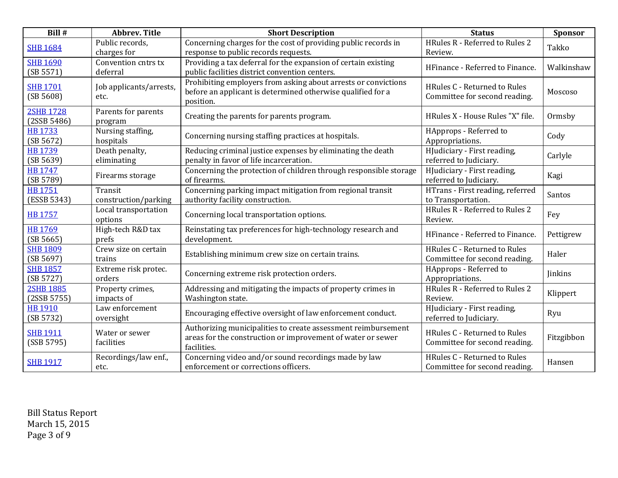| Bill #                          | <b>Abbrev. Title</b>            | <b>Short Description</b>                                                                                                                    | <b>Status</b>                                                 | Sponsor        |
|---------------------------------|---------------------------------|---------------------------------------------------------------------------------------------------------------------------------------------|---------------------------------------------------------------|----------------|
| <b>SHB 1684</b>                 | Public records,<br>charges for  | Concerning charges for the cost of providing public records in<br>response to public records requests.                                      | HRules R - Referred to Rules 2<br>Review.                     | Takko          |
| <b>SHB 1690</b><br>(SB 5571)    | Convention cntrs tx<br>deferral | Providing a tax deferral for the expansion of certain existing<br>public facilities district convention centers.                            | HFinance - Referred to Finance.                               | Walkinshaw     |
| <b>SHB 1701</b><br>(SB 5608)    | Job applicants/arrests,<br>etc. | Prohibiting employers from asking about arrests or convictions<br>before an applicant is determined otherwise qualified for a<br>position.  | HRules C - Returned to Rules<br>Committee for second reading. | Moscoso        |
| <b>2SHB 1728</b><br>(2SSB 5486) | Parents for parents<br>program  | Creating the parents for parents program.                                                                                                   | HRules X - House Rules "X" file.                              | Ormsby         |
| <b>HB 1733</b><br>(SB 5672)     | Nursing staffing,<br>hospitals  | Concerning nursing staffing practices at hospitals.                                                                                         | HApprops - Referred to<br>Appropriations.                     | Cody           |
| <b>HB 1739</b><br>(SB 5639)     | Death penalty,<br>eliminating   | Reducing criminal justice expenses by eliminating the death<br>penalty in favor of life incarceration.                                      | HJudiciary - First reading,<br>referred to Judiciary.         | Carlyle        |
| <b>HB 1747</b><br>(SB 5789)     | Firearms storage                | Concerning the protection of children through responsible storage<br>of firearms.                                                           | HJudiciary - First reading,<br>referred to Judiciary.         | Kagi           |
| <b>HB 1751</b><br>(ESSB 5343)   | Transit<br>construction/parking | Concerning parking impact mitigation from regional transit<br>authority facility construction.                                              | HTrans - First reading, referred<br>to Transportation.        | Santos         |
| <b>HB 1757</b>                  | Local transportation<br>options | Concerning local transportation options.                                                                                                    | HRules R - Referred to Rules 2<br>Review.                     | Fey            |
| <b>HB 1769</b><br>(SB 5665)     | High-tech R&D tax<br>prefs      | Reinstating tax preferences for high-technology research and<br>development.                                                                | HFinance - Referred to Finance.                               | Pettigrew      |
| <b>SHB 1809</b><br>(SB 5697)    | Crew size on certain<br>trains  | Establishing minimum crew size on certain trains.                                                                                           | HRules C - Returned to Rules<br>Committee for second reading. | Haler          |
| <b>SHB 1857</b><br>(SB 5727)    | Extreme risk protec.<br>orders  | Concerning extreme risk protection orders.                                                                                                  | HApprops - Referred to<br>Appropriations.                     | <b>Jinkins</b> |
| <b>2SHB 1885</b><br>(2SSB 5755) | Property crimes,<br>impacts of  | Addressing and mitigating the impacts of property crimes in<br>Washington state.                                                            | HRules R - Referred to Rules 2<br>Review.                     | Klippert       |
| <b>HB 1910</b><br>(SB 5732)     | Law enforcement<br>oversight    | Encouraging effective oversight of law enforcement conduct.                                                                                 | HJudiciary - First reading,<br>referred to Judiciary.         | Ryu            |
| <b>SHB 1911</b><br>(SSB 5795)   | Water or sewer<br>facilities    | Authorizing municipalities to create assessment reimbursement<br>areas for the construction or improvement of water or sewer<br>facilities. | HRules C - Returned to Rules<br>Committee for second reading. | Fitzgibbon     |
| <b>SHB 1917</b>                 | Recordings/law enf.,<br>etc.    | Concerning video and/or sound recordings made by law<br>enforcement or corrections officers.                                                | HRules C - Returned to Rules<br>Committee for second reading. | Hansen         |

Bill Status Report March 15, 2015 Page 3 of 9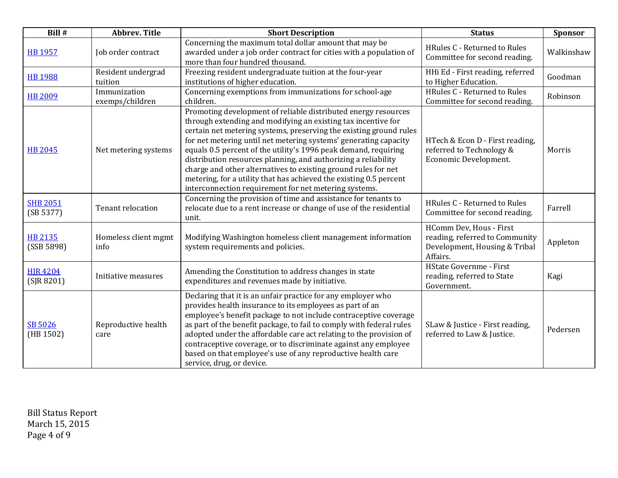| Bill #                        | <b>Abbrev. Title</b>            | <b>Short Description</b>                                                                                                                                                                                                                                                                                                                                                                                                                                                                                                                                                                                        | <b>Status</b>                                                                                          | <b>Sponsor</b> |
|-------------------------------|---------------------------------|-----------------------------------------------------------------------------------------------------------------------------------------------------------------------------------------------------------------------------------------------------------------------------------------------------------------------------------------------------------------------------------------------------------------------------------------------------------------------------------------------------------------------------------------------------------------------------------------------------------------|--------------------------------------------------------------------------------------------------------|----------------|
| <b>HB 1957</b>                | Job order contract              | Concerning the maximum total dollar amount that may be<br>awarded under a job order contract for cities with a population of<br>more than four hundred thousand.                                                                                                                                                                                                                                                                                                                                                                                                                                                | HRules C - Returned to Rules<br>Committee for second reading.                                          | Walkinshaw     |
| <b>HB 1988</b>                | Resident undergrad<br>tuition   | Freezing resident undergraduate tuition at the four-year<br>institutions of higher education.                                                                                                                                                                                                                                                                                                                                                                                                                                                                                                                   | HHi Ed - First reading, referred<br>to Higher Education.                                               | Goodman        |
| <b>HB 2009</b>                | Immunization<br>exemps/children | Concerning exemptions from immunizations for school-age<br>children.                                                                                                                                                                                                                                                                                                                                                                                                                                                                                                                                            | HRules C - Returned to Rules<br>Committee for second reading.                                          | Robinson       |
| <b>HB 2045</b>                | Net metering systems            | Promoting development of reliable distributed energy resources<br>through extending and modifying an existing tax incentive for<br>certain net metering systems, preserving the existing ground rules<br>for net metering until net metering systems' generating capacity<br>equals 0.5 percent of the utility's 1996 peak demand, requiring<br>distribution resources planning, and authorizing a reliability<br>charge and other alternatives to existing ground rules for net<br>metering, for a utility that has achieved the existing 0.5 percent<br>interconnection requirement for net metering systems. | HTech & Econ D - First reading,<br>referred to Technology &<br>Economic Development.                   | Morris         |
| <b>SHB 2051</b><br>(SB 5377)  | Tenant relocation               | Concerning the provision of time and assistance for tenants to<br>relocate due to a rent increase or change of use of the residential<br>unit.                                                                                                                                                                                                                                                                                                                                                                                                                                                                  | HRules C - Returned to Rules<br>Committee for second reading.                                          | Farrell        |
| HB 2135<br>(SSB 5898)         | Homeless client mgmt<br>info    | Modifying Washington homeless client management information<br>system requirements and policies.                                                                                                                                                                                                                                                                                                                                                                                                                                                                                                                | HComm Dev, Hous - First<br>reading, referred to Community<br>Development, Housing & Tribal<br>Affairs. | Appleton       |
| <b>HIR 4204</b><br>(SIR 8201) | Initiative measures             | Amending the Constitution to address changes in state<br>expenditures and revenues made by initiative.                                                                                                                                                                                                                                                                                                                                                                                                                                                                                                          | HState Governme - First<br>reading, referred to State<br>Government.                                   | Kagi           |
| SB 5026<br>(HB 1502)          | Reproductive health<br>care     | Declaring that it is an unfair practice for any employer who<br>provides health insurance to its employees as part of an<br>employee's benefit package to not include contraceptive coverage<br>as part of the benefit package, to fail to comply with federal rules<br>adopted under the affordable care act relating to the provision of<br>contraceptive coverage, or to discriminate against any employee<br>based on that employee's use of any reproductive health care<br>service, drug, or device.                                                                                                      | SLaw & Justice - First reading,<br>referred to Law & Justice.                                          | Pedersen       |

Bill Status Report March 15, 2015 Page 4 of 9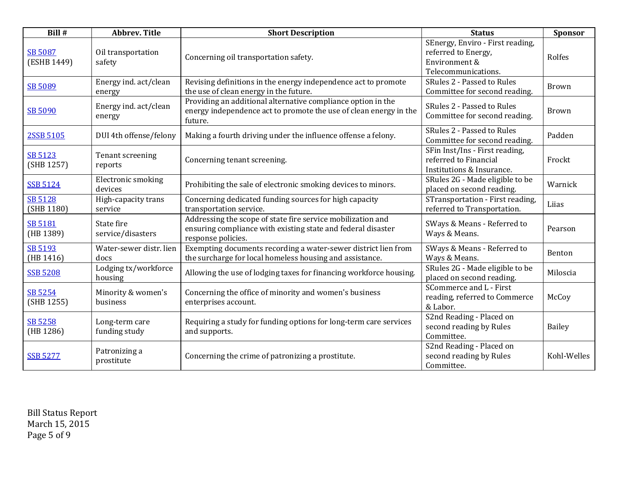| Bill #                        | <b>Abbrev. Title</b>            | <b>Short Description</b>                                                                                                                          | <b>Status</b>                                                                                   | Sponsor       |
|-------------------------------|---------------------------------|---------------------------------------------------------------------------------------------------------------------------------------------------|-------------------------------------------------------------------------------------------------|---------------|
| <b>SB 5087</b><br>(ESHB 1449) | Oil transportation<br>safety    | Concerning oil transportation safety.                                                                                                             | SEnergy, Enviro - First reading,<br>referred to Energy,<br>Environment &<br>Telecommunications. | Rolfes        |
| SB 5089                       | Energy ind. act/clean<br>energy | Revising definitions in the energy independence act to promote<br>the use of clean energy in the future.                                          | SRules 2 - Passed to Rules<br>Committee for second reading.                                     | <b>Brown</b>  |
| SB 5090                       | Energy ind. act/clean<br>energy | Providing an additional alternative compliance option in the<br>energy independence act to promote the use of clean energy in the<br>future.      | SRules 2 - Passed to Rules<br>Committee for second reading.                                     | <b>Brown</b>  |
| 2SSB 5105                     | DUI 4th offense/felony          | Making a fourth driving under the influence offense a felony.                                                                                     | SRules 2 - Passed to Rules<br>Committee for second reading.                                     | Padden        |
| SB 5123<br>(SHB 1257)         | Tenant screening<br>reports     | Concerning tenant screening.                                                                                                                      | SFin Inst/Ins - First reading,<br>referred to Financial<br>Institutions & Insurance.            | Frockt        |
| <b>SSB 5124</b>               | Electronic smoking<br>devices   | Prohibiting the sale of electronic smoking devices to minors.                                                                                     | SRules 2G - Made eligible to be<br>placed on second reading.                                    | Warnick       |
| <b>SB 5128</b><br>(SHB 1180)  | High-capacity trans<br>service  | Concerning dedicated funding sources for high capacity<br>transportation service.                                                                 | STransportation - First reading,<br>referred to Transportation.                                 | Liias         |
| <b>SB 5181</b><br>(HB 1389)   | State fire<br>service/disasters | Addressing the scope of state fire service mobilization and<br>ensuring compliance with existing state and federal disaster<br>response policies. | SWays & Means - Referred to<br>Ways & Means.                                                    | Pearson       |
| SB 5193<br>(HB 1416)          | Water-sewer distr. lien<br>docs | Exempting documents recording a water-sewer district lien from<br>the surcharge for local homeless housing and assistance.                        | SWays & Means - Referred to<br>Ways & Means.                                                    | Benton        |
| <b>SSB 5208</b>               | Lodging tx/workforce<br>housing | Allowing the use of lodging taxes for financing workforce housing.                                                                                | SRules 2G - Made eligible to be<br>placed on second reading.                                    | Miloscia      |
| SB 5254<br>(SHB 1255)         | Minority & women's<br>business  | Concerning the office of minority and women's business<br>enterprises account.                                                                    | SCommerce and L - First<br>reading, referred to Commerce<br>& Labor.                            | McCoy         |
| SB 5258<br>(HB 1286)          | Long-term care<br>funding study | Requiring a study for funding options for long-term care services<br>and supports.                                                                | S2nd Reading - Placed on<br>second reading by Rules<br>Committee.                               | <b>Bailey</b> |
| <b>SSB 5277</b>               | Patronizing a<br>prostitute     | Concerning the crime of patronizing a prostitute.                                                                                                 | S2nd Reading - Placed on<br>second reading by Rules<br>Committee.                               | Kohl-Welles   |

Bill Status Report March 15, 2015 Page 5 of 9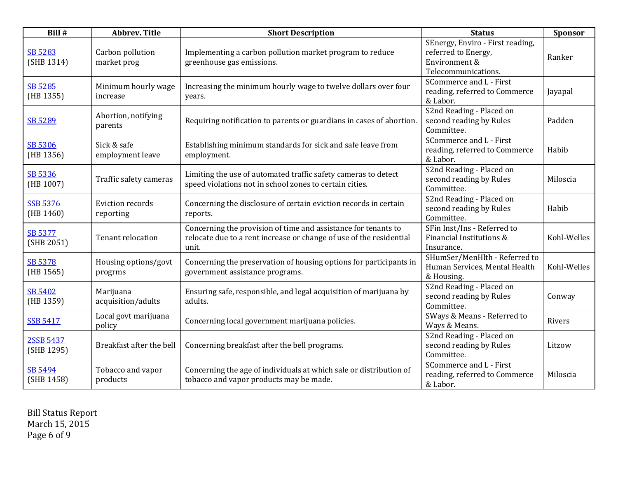| Bill #                       | <b>Abbrev. Title</b>            | <b>Short Description</b>                                                                                                                       | <b>Status</b>                                                                                   | Sponsor     |
|------------------------------|---------------------------------|------------------------------------------------------------------------------------------------------------------------------------------------|-------------------------------------------------------------------------------------------------|-------------|
| SB 5283<br>(SHB 1314)        | Carbon pollution<br>market prog | Implementing a carbon pollution market program to reduce<br>greenhouse gas emissions.                                                          | SEnergy, Enviro - First reading,<br>referred to Energy,<br>Environment &<br>Telecommunications. | Ranker      |
| SB 5285<br>(HB 1355)         | Minimum hourly wage<br>increase | Increasing the minimum hourly wage to twelve dollars over four<br>years.                                                                       | SCommerce and L - First<br>reading, referred to Commerce<br>& Labor.                            | Jayapal     |
| SB 5289                      | Abortion, notifying<br>parents  | Requiring notification to parents or guardians in cases of abortion.                                                                           | S2nd Reading - Placed on<br>second reading by Rules<br>Committee.                               | Padden      |
| SB 5306<br>(HB 1356)         | Sick & safe<br>employment leave | Establishing minimum standards for sick and safe leave from<br>employment.                                                                     | SCommerce and L - First<br>reading, referred to Commerce<br>& Labor.                            | Habib       |
| SB 5336<br>(HB 1007)         | Traffic safety cameras          | Limiting the use of automated traffic safety cameras to detect<br>speed violations not in school zones to certain cities.                      | S2nd Reading - Placed on<br>second reading by Rules<br>Committee.                               | Miloscia    |
| <b>SSB 5376</b><br>(HB 1460) | Eviction records<br>reporting   | Concerning the disclosure of certain eviction records in certain<br>reports.                                                                   | S2nd Reading - Placed on<br>second reading by Rules<br>Committee.                               | Habib       |
| SB 5377<br>(SHB 2051)        | Tenant relocation               | Concerning the provision of time and assistance for tenants to<br>relocate due to a rent increase or change of use of the residential<br>unit. | SFin Inst/Ins - Referred to<br>Financial Institutions &<br>Insurance.                           | Kohl-Welles |
| SB 5378<br>(HB 1565)         | Housing options/govt<br>progrms | Concerning the preservation of housing options for participants in<br>government assistance programs.                                          | SHumSer/MenHlth - Referred to<br>Human Services, Mental Health<br>& Housing.                    | Kohl-Welles |
| SB 5402<br>(HB 1359)         | Marijuana<br>acquisition/adults | Ensuring safe, responsible, and legal acquisition of marijuana by<br>adults.                                                                   | S2nd Reading - Placed on<br>second reading by Rules<br>Committee.                               | Conway      |
| <b>SSB 5417</b>              | Local govt marijuana<br>policy  | Concerning local government marijuana policies.                                                                                                | SWays & Means - Referred to<br>Ways & Means.                                                    | Rivers      |
| 2SSB 5437<br>(SHB 1295)      | Breakfast after the bell        | Concerning breakfast after the bell programs.                                                                                                  | S2nd Reading - Placed on<br>second reading by Rules<br>Committee.                               | Litzow      |
| SB 5494<br>(SHB 1458)        | Tobacco and vapor<br>products   | Concerning the age of individuals at which sale or distribution of<br>tobacco and vapor products may be made.                                  | SCommerce and L - First<br>reading, referred to Commerce<br>& Labor.                            | Miloscia    |

Bill Status Report March 15, 2015 Page 6 of 9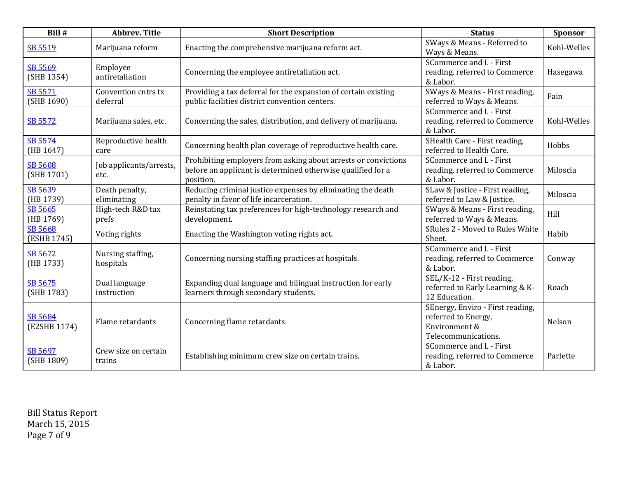| Bill #                  | <b>Abbrev. Title</b>            | <b>Short Description</b>                                                                                                                   | <b>Status</b>                                                                                   | <b>Sponsor</b> |
|-------------------------|---------------------------------|--------------------------------------------------------------------------------------------------------------------------------------------|-------------------------------------------------------------------------------------------------|----------------|
| SB 5519                 | Marijuana reform                | Enacting the comprehensive marijuana reform act.                                                                                           | SWays & Means - Referred to<br>Ways & Means.                                                    | Kohl-Welles    |
| SB 5569<br>(SHB 1354)   | Employee<br>antiretaliation     | Concerning the employee antiretaliation act.                                                                                               | SCommerce and L - First<br>reading, referred to Commerce<br>& Labor.                            | Hasegawa       |
| SB 5571<br>(SHB 1690)   | Convention cntrs tx<br>deferral | Providing a tax deferral for the expansion of certain existing<br>public facilities district convention centers.                           | SWays & Means - First reading,<br>referred to Ways & Means.                                     | Fain           |
| SB 5572                 | Marijuana sales, etc.           | Concerning the sales, distribution, and delivery of marijuana.                                                                             | SCommerce and L - First<br>reading, referred to Commerce<br>& Labor.                            | Kohl-Welles    |
| SB 5574<br>(HB 1647)    | Reproductive health<br>care     | Concerning health plan coverage of reproductive health care.                                                                               | SHealth Care - First reading,<br>referred to Health Care.                                       | Hobbs          |
| SB 5608<br>(SHB 1701)   | Job applicants/arrests,<br>etc. | Prohibiting employers from asking about arrests or convictions<br>before an applicant is determined otherwise qualified for a<br>position. | SCommerce and L - First<br>reading, referred to Commerce<br>& Labor.                            | Miloscia       |
| SB 5639<br>(HB 1739)    | Death penalty,<br>eliminating   | Reducing criminal justice expenses by eliminating the death<br>penalty in favor of life incarceration.                                     | SLaw & Justice - First reading,<br>referred to Law & Justice.                                   | Miloscia       |
| SB 5665<br>(HB 1769)    | High-tech R&D tax<br>prefs      | Reinstating tax preferences for high-technology research and<br>development.                                                               | SWays & Means - First reading,<br>referred to Ways & Means.                                     | Hill           |
| SB 5668<br>(ESHB 1745)  | Voting rights                   | Enacting the Washington voting rights act.                                                                                                 | SRules 2 - Moved to Rules White<br>Sheet.                                                       | Habib          |
| SB 5672<br>(HB 1733)    | Nursing staffing,<br>hospitals  | Concerning nursing staffing practices at hospitals.                                                                                        | SCommerce and L - First<br>reading, referred to Commerce<br>& Labor.                            | Conway         |
| SB 5675<br>(SHB 1783)   | Dual language<br>instruction    | Expanding dual language and bilingual instruction for early<br>learners through secondary students.                                        | SEL/K-12 - First reading,<br>referred to Early Learning & K-<br>12 Education.                   | Roach          |
| SB 5684<br>(E2SHB 1174) | Flame retardants                | Concerning flame retardants.                                                                                                               | SEnergy, Enviro - First reading,<br>referred to Energy,<br>Environment &<br>Telecommunications. | Nelson         |
| SB 5697<br>(SHB 1809)   | Crew size on certain<br>trains  | Establishing minimum crew size on certain trains.                                                                                          | SCommerce and L - First<br>reading, referred to Commerce<br>& Labor.                            | Parlette       |

Bill Status Report March 15, 2015 Page 7 of 9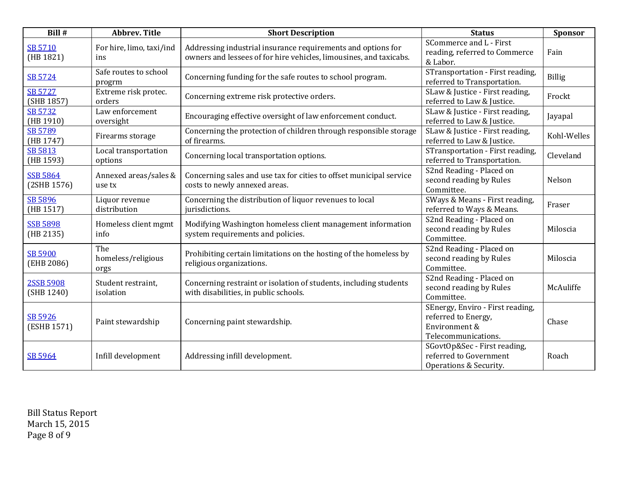| Bill #                         | <b>Abbrev. Title</b>              | <b>Short Description</b>                                                                                                           | <b>Status</b>                                                                                   | <b>Sponsor</b> |
|--------------------------------|-----------------------------------|------------------------------------------------------------------------------------------------------------------------------------|-------------------------------------------------------------------------------------------------|----------------|
| SB 5710<br>(HB 1821)           | For hire, limo, taxi/ind<br>ins   | Addressing industrial insurance requirements and options for<br>owners and lessees of for hire vehicles, limousines, and taxicabs. | SCommerce and L - First<br>reading, referred to Commerce<br>& Labor.                            | Fain           |
| SB 5724                        | Safe routes to school<br>progrm   | Concerning funding for the safe routes to school program.                                                                          | STransportation - First reading,<br>referred to Transportation.                                 | <b>Billig</b>  |
| <b>SB 5727</b><br>(SHB 1857)   | Extreme risk protec.<br>orders    | Concerning extreme risk protective orders.                                                                                         | SLaw & Justice - First reading,<br>referred to Law & Justice.                                   | Frockt         |
| <b>SB 5732</b><br>(HB 1910)    | Law enforcement<br>oversight      | Encouraging effective oversight of law enforcement conduct.                                                                        | SLaw & Justice - First reading,<br>referred to Law & Justice.                                   | Jayapal        |
| <b>SB 5789</b><br>(HB 1747)    | Firearms storage                  | Concerning the protection of children through responsible storage<br>of firearms.                                                  | SLaw & Justice - First reading,<br>referred to Law & Justice.                                   | Kohl-Welles    |
| SB 5813<br>(HB 1593)           | Local transportation<br>options   | Concerning local transportation options.                                                                                           | STransportation - First reading,<br>referred to Transportation.                                 | Cleveland      |
| <b>SSB 5864</b><br>(2SHB 1576) | Annexed areas/sales &<br>use tx   | Concerning sales and use tax for cities to offset municipal service<br>costs to newly annexed areas.                               | S2nd Reading - Placed on<br>second reading by Rules<br>Committee.                               | Nelson         |
| SB 5896<br>(HB 1517)           | Liquor revenue<br>distribution    | Concerning the distribution of liquor revenues to local<br>jurisdictions.                                                          | SWays & Means - First reading,<br>referred to Ways & Means.                                     | Fraser         |
| <b>SSB 5898</b><br>(HB 2135)   | Homeless client mgmt<br>info      | Modifying Washington homeless client management information<br>system requirements and policies.                                   | S2nd Reading - Placed on<br>second reading by Rules<br>Committee.                               | Miloscia       |
| <b>SB 5900</b><br>(EHB 2086)   | The<br>homeless/religious<br>orgs | Prohibiting certain limitations on the hosting of the homeless by<br>religious organizations.                                      | S2nd Reading - Placed on<br>second reading by Rules<br>Committee.                               | Miloscia       |
| <b>2SSB 5908</b><br>(SHB 1240) | Student restraint,<br>isolation   | Concerning restraint or isolation of students, including students<br>with disabilities, in public schools.                         | S2nd Reading - Placed on<br>second reading by Rules<br>Committee.                               | McAuliffe      |
| SB 5926<br>(ESHB 1571)         | Paint stewardship                 | Concerning paint stewardship.                                                                                                      | SEnergy, Enviro - First reading,<br>referred to Energy,<br>Environment &<br>Telecommunications. | Chase          |
| SB 5964                        | Infill development                | Addressing infill development.                                                                                                     | SGovtOp&Sec - First reading,<br>referred to Government<br>Operations & Security.                | Roach          |

Bill Status Report March 15, 2015 Page 8 of 9